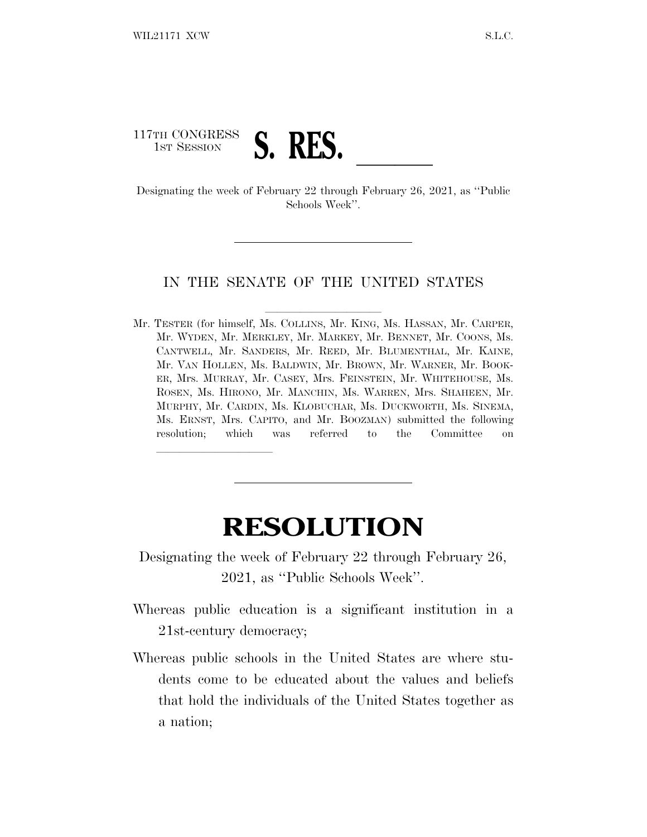## 117TH CONGRESS

lland and a state of the state of the state of the state of the state of the state of the state of the state o

1ST SESSION **S. RES.**<br>Designating the week of February 22 through February 26, 2021, as "Public Schools Week''.

## IN THE SENATE OF THE UNITED STATES

Mr. TESTER (for himself, Ms. COLLINS, Mr. KING, Ms. HASSAN, Mr. CARPER, Mr. WYDEN, Mr. MERKLEY, Mr. MARKEY, Mr. BENNET, Mr. COONS, Ms. CANTWELL, Mr. SANDERS, Mr. REED, Mr. BLUMENTHAL, Mr. KAINE, Mr. VAN HOLLEN, Ms. BALDWIN, Mr. BROWN, Mr. WARNER, Mr. BOOK-ER, Mrs. MURRAY, Mr. CASEY, Mrs. FEINSTEIN, Mr. WHITEHOUSE, Ms. ROSEN, Ms. HIRONO, Mr. MANCHIN, Ms. WARREN, Mrs. SHAHEEN, Mr. MURPHY, Mr. CARDIN, Ms. KLOBUCHAR, Ms. DUCKWORTH, Ms. SINEMA, Ms. ERNST, Mrs. CAPITO, and Mr. BOOZMAN) submitted the following resolution; which was referred to the Committee on

## **RESOLUTION**

Designating the week of February 22 through February 26, 2021, as ''Public Schools Week''.

- Whereas public education is a significant institution in a 21st-century democracy;
- Whereas public schools in the United States are where students come to be educated about the values and beliefs that hold the individuals of the United States together as a nation;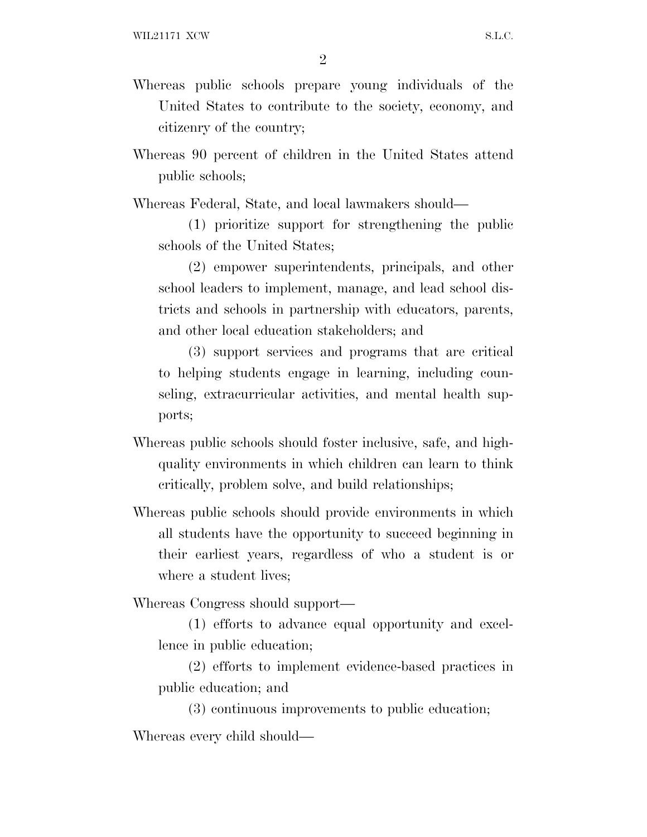2

- Whereas public schools prepare young individuals of the United States to contribute to the society, economy, and citizenry of the country;
- Whereas 90 percent of children in the United States attend public schools;

Whereas Federal, State, and local lawmakers should—

(1) prioritize support for strengthening the public schools of the United States;

(2) empower superintendents, principals, and other school leaders to implement, manage, and lead school districts and schools in partnership with educators, parents, and other local education stakeholders; and

(3) support services and programs that are critical to helping students engage in learning, including counseling, extracurricular activities, and mental health supports;

- Whereas public schools should foster inclusive, safe, and highquality environments in which children can learn to think critically, problem solve, and build relationships;
- Whereas public schools should provide environments in which all students have the opportunity to succeed beginning in their earliest years, regardless of who a student is or where a student lives;

Whereas Congress should support—

(1) efforts to advance equal opportunity and excellence in public education;

(2) efforts to implement evidence-based practices in public education; and

(3) continuous improvements to public education; Whereas every child should—